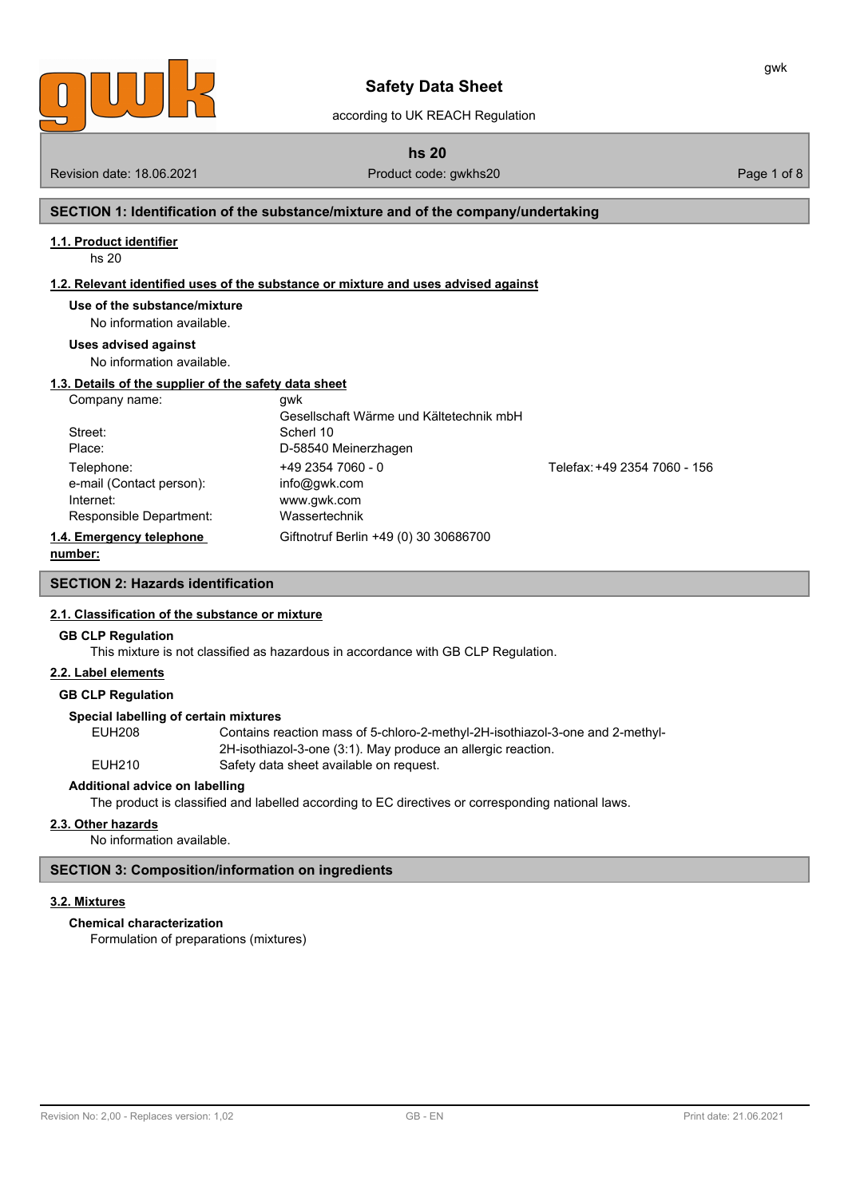

according to UK REACH Regulation

**hs 20**

Revision date: 18.06.2021 **Product code: gwkhs20** Product code: gwkhs20 **Page 1 of 8** Page 1 of 8

gwk

### **SECTION 1: Identification of the substance/mixture and of the company/undertaking**

#### **1.1. Product identifier**

hs 20

#### **1.2. Relevant identified uses of the substance or mixture and uses advised against**

### **Use of the substance/mixture**

No information available.

#### **Uses advised against**

No information available.

### **1.3. Details of the supplier of the safety data sheet**

| Company name:            | awk                                     |                              |
|--------------------------|-----------------------------------------|------------------------------|
|                          | Gesellschaft Wärme und Kältetechnik mbH |                              |
| Street:                  | Scherl 10                               |                              |
| Place:                   | D-58540 Meinerzhagen                    |                              |
| Telephone:               | $+4923547060 - 0$                       | Telefax: +49 2354 7060 - 156 |
| e-mail (Contact person): | info@gwk.com                            |                              |
| Internet:                | www.gwk.com                             |                              |
| Responsible Department:  | Wassertechnik                           |                              |
| 1.4. Emergency telephone | Giftnotruf Berlin +49 (0) 30 30686700   |                              |
| number:                  |                                         |                              |

### **SECTION 2: Hazards identification**

#### **2.1. Classification of the substance or mixture**

#### **GB CLP Regulation**

This mixture is not classified as hazardous in accordance with GB CLP Regulation.

### **2.2. Label elements**

#### **GB CLP Regulation**

#### **Special labelling of certain mixtures**

EUH208 Contains reaction mass of 5-chloro-2-methyl-2H-isothiazol-3-one and 2-methyl-2H-isothiazol-3-one (3:1). May produce an allergic reaction. EUH210 Safety data sheet available on request.

#### **Additional advice on labelling**

The product is classified and labelled according to EC directives or corresponding national laws.

#### **2.3. Other hazards**

No information available.

### **SECTION 3: Composition/information on ingredients**

#### **3.2. Mixtures**

### **Chemical characterization**

Formulation of preparations (mixtures)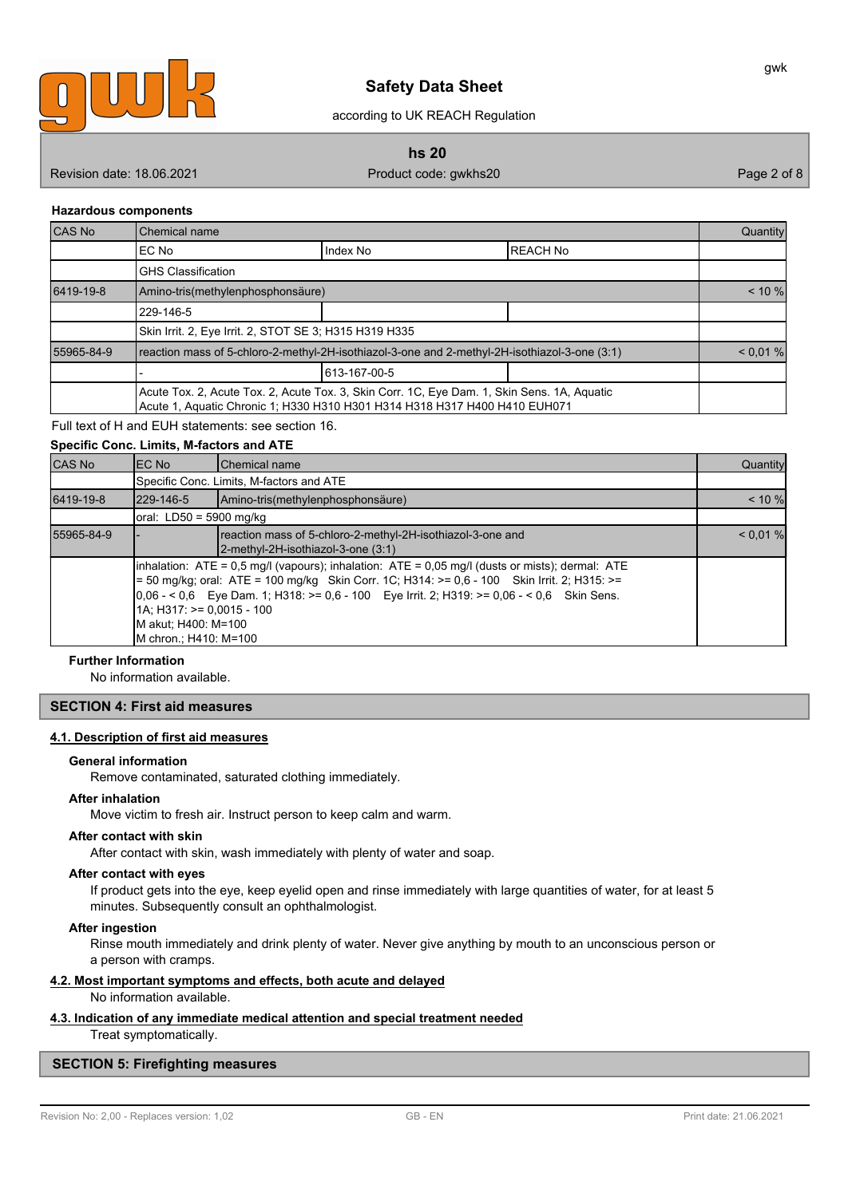

according to UK REACH Regulation

**hs 20**

Revision date: 18.06.2021 **Product code: gwkhs20** Product code: gwkhs20 Page 2 of 8

gwk

#### **Hazardous components**

| CAS No                                                                                                                                                                    | Chemical name                                                                                 |              |                 | Quantity  |
|---------------------------------------------------------------------------------------------------------------------------------------------------------------------------|-----------------------------------------------------------------------------------------------|--------------|-----------------|-----------|
|                                                                                                                                                                           | IEC No                                                                                        | Index No     | <b>REACH No</b> |           |
|                                                                                                                                                                           | <b>GHS Classification</b>                                                                     |              |                 |           |
| 6419-19-8                                                                                                                                                                 | Amino-tris(methylenphosphonsäure)                                                             |              |                 | $< 10 \%$ |
|                                                                                                                                                                           | 229-146-5                                                                                     |              |                 |           |
|                                                                                                                                                                           | Skin Irrit. 2, Eye Irrit. 2, STOT SE 3; H315 H319 H335                                        |              |                 |           |
| 55965-84-9                                                                                                                                                                | reaction mass of 5-chloro-2-methyl-2H-isothiazol-3-one and 2-methyl-2H-isothiazol-3-one (3:1) |              | < 0.01 %        |           |
|                                                                                                                                                                           |                                                                                               | 613-167-00-5 |                 |           |
| Acute Tox. 2, Acute Tox. 2, Acute Tox. 3, Skin Corr. 1C, Eye Dam. 1, Skin Sens. 1A, Aquatic<br>Acute 1, Aquatic Chronic 1; H330 H310 H301 H314 H318 H317 H400 H410 EUH071 |                                                                                               |              |                 |           |

Full text of H and EUH statements: see section 16.

### **Specific Conc. Limits, M-factors and ATE** CAS No EC No Chemical name Quantity Specific Conc. Limits, M-factors and ATE 6419-19-8 229-146-5 Amino-tris(methylenphosphonsäure) < 10 % oral: LD50 = 5900 mg/kg 55965-84-9 - reaction mass of 5-chloro-2-methyl-2H-isothiazol-3-one and  $\sim$  0.01 % 2-methyl-2H-isothiazol-3-one (3:1) inhalation: ATE = 0,5 mg/l (vapours); inhalation: ATE = 0,05 mg/l (dusts or mists); dermal: ATE = 50 mg/kg; oral: ATE = 100 mg/kg Skin Corr. 1C; H314: >= 0,6 - 100 Skin Irrit. 2; H315: >=  $0.06 - 5.06$  Eye Dam. 1; H318: >= 0,6 - 100 Eye Irrit. 2; H319: >= 0,06 - < 0,6 Skin Sens. 1A; H317: >= 0,0015 - 100 M akut; H400: M=100 M chron.; H410: M=100

#### **Further Information**

No information available.

### **SECTION 4: First aid measures**

#### **4.1. Description of first aid measures**

#### **General information**

Remove contaminated, saturated clothing immediately.

#### **After inhalation**

Move victim to fresh air. Instruct person to keep calm and warm.

#### **After contact with skin**

After contact with skin, wash immediately with plenty of water and soap.

#### **After contact with eyes**

If product gets into the eye, keep eyelid open and rinse immediately with large quantities of water, for at least 5 minutes. Subsequently consult an ophthalmologist.

#### **After ingestion**

Rinse mouth immediately and drink plenty of water. Never give anything by mouth to an unconscious person or a person with cramps.

#### **4.2. Most important symptoms and effects, both acute and delayed**

No information available.

#### **4.3. Indication of any immediate medical attention and special treatment needed**

Treat symptomatically.

#### **SECTION 5: Firefighting measures**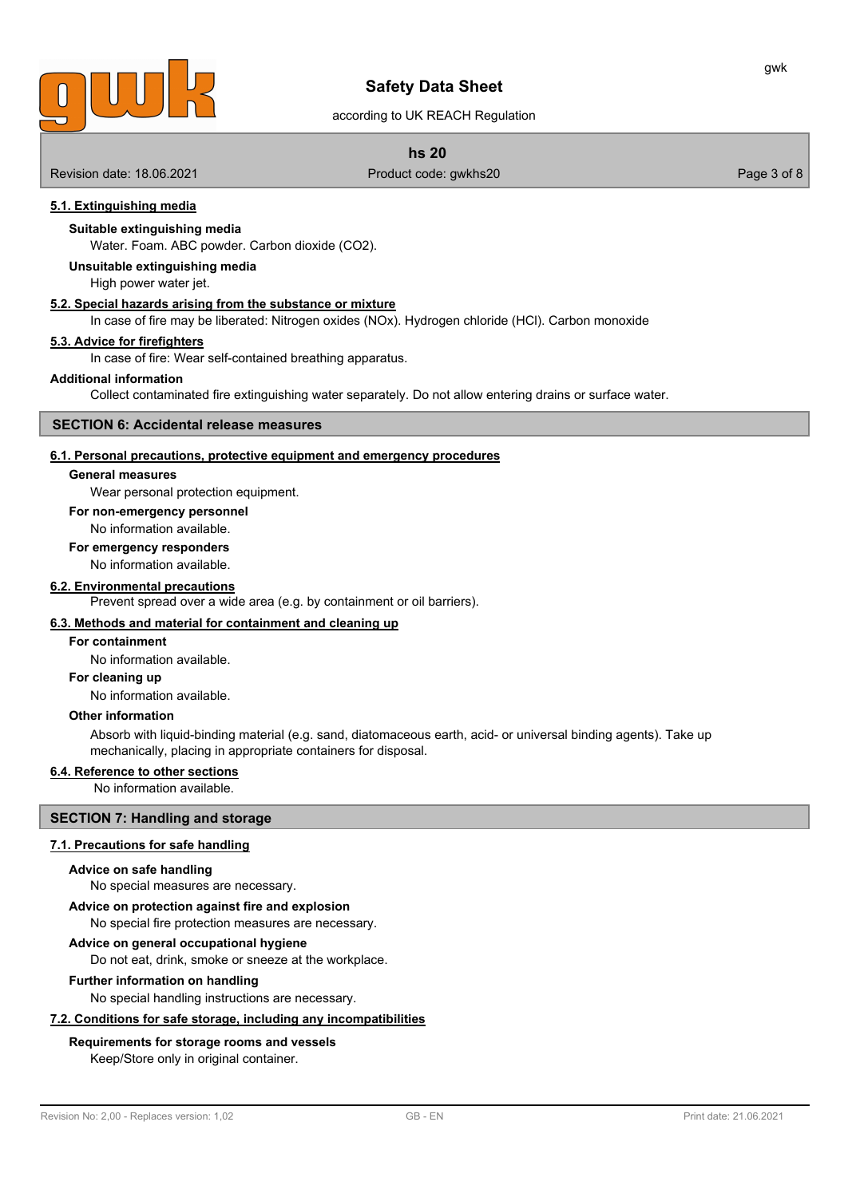

### according to UK REACH Regulation

### **hs 20**

Revision date: 18.06.2021 **Product code: gwkhs20** Product code: gwkhs20 **Page 3 of 8** Page 3 of 8

### **5.1. Extinguishing media**

### **Suitable extinguishing media**

Water. Foam. ABC powder. Carbon dioxide (CO2).

**Unsuitable extinguishing media**

High power water jet.

### **5.2. Special hazards arising from the substance or mixture**

In case of fire may be liberated: Nitrogen oxides (NOx). Hydrogen chloride (HCl). Carbon monoxide

#### **5.3. Advice for firefighters**

In case of fire: Wear self-contained breathing apparatus.

#### **Additional information**

Collect contaminated fire extinguishing water separately. Do not allow entering drains or surface water.

### **SECTION 6: Accidental release measures**

#### **6.1. Personal precautions, protective equipment and emergency procedures**

#### **General measures**

Wear personal protection equipment.

#### **For non-emergency personnel**

No information available.

#### **For emergency responders**

No information available.

#### **6.2. Environmental precautions**

Prevent spread over a wide area (e.g. by containment or oil barriers).

### **6.3. Methods and material for containment and cleaning up**

#### **For containment**

No information available.

#### **For cleaning up**

No information available.

### **Other information**

Absorb with liquid-binding material (e.g. sand, diatomaceous earth, acid- or universal binding agents). Take up mechanically, placing in appropriate containers for disposal.

#### **6.4. Reference to other sections**

No information available.

### **SECTION 7: Handling and storage**

#### **7.1. Precautions for safe handling**

#### **Advice on safe handling**

No special measures are necessary.

### **Advice on protection against fire and explosion**

No special fire protection measures are necessary.

#### **Advice on general occupational hygiene**

Do not eat, drink, smoke or sneeze at the workplace.

#### **Further information on handling**

No special handling instructions are necessary.

### **7.2. Conditions for safe storage, including any incompatibilities**

### **Requirements for storage rooms and vessels**

Keep/Store only in original container.

gwk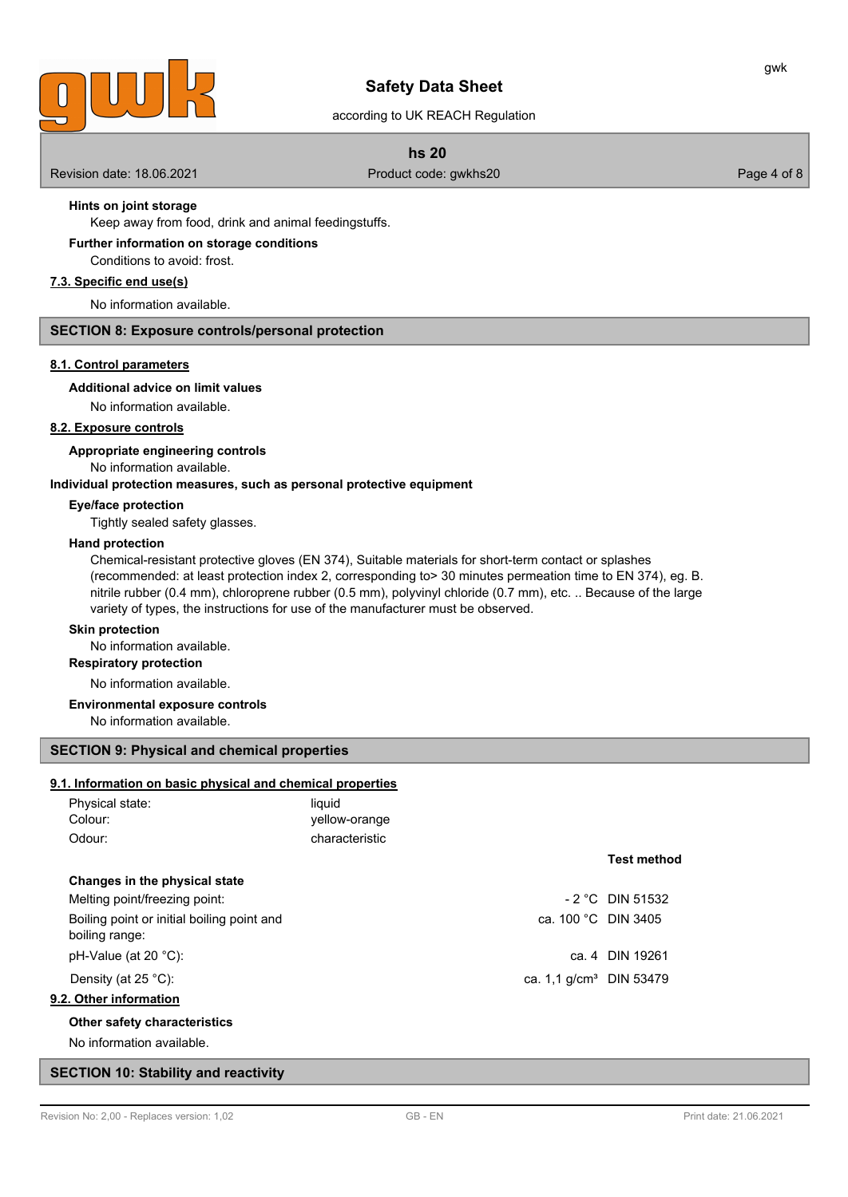

according to UK REACH Regulation

### **hs 20**

Revision date: 18.06.2021 **Product code: gwkhs20** Product code: gwkhs20 Page 4 of 8

### **Hints on joint storage**

Keep away from food, drink and animal feedingstuffs.

Conditions to avoid: frost. **Further information on storage conditions**

# **7.3. Specific end use(s)**

No information available.

#### **SECTION 8: Exposure controls/personal protection**

#### **8.1. Control parameters**

### **Additional advice on limit values**

No information available.

### **8.2. Exposure controls**

**Appropriate engineering controls**

No information available.

### **Individual protection measures, such as personal protective equipment**

#### **Eye/face protection**

Tightly sealed safety glasses.

#### **Hand protection**

Chemical-resistant protective gloves (EN 374), Suitable materials for short-term contact or splashes (recommended: at least protection index 2, corresponding to> 30 minutes permeation time to EN 374), eg. B. nitrile rubber (0.4 mm), chloroprene rubber (0.5 mm), polyvinyl chloride (0.7 mm), etc. .. Because of the large variety of types, the instructions for use of the manufacturer must be observed.

#### **Skin protection**

No information available.

### **Respiratory protection**

No information available.

#### **Environmental exposure controls**

No information available.

### **SECTION 9: Physical and chemical properties**

### **9.1. Information on basic physical and chemical properties**

| Physical state: | liauid         |
|-----------------|----------------|
| Colour:         | yellow-orange  |
| Odour:          | characteristic |

#### **Changes in the physical state**

Melting point/freezing point:  $\blacksquare$  2 °C DIN 51532 Boiling point or initial boiling point and ca. 100 °C DIN 3405 boiling range: pH-Value (at 20 °C): ca. 4 DIN 19261

#### **9.2. Other information**

### **Other safety characteristics**

No information available.

#### **SECTION 10: Stability and reactivity**

**Test method**

Density (at 25 °C):  $\qquad \qquad$  DIN 53479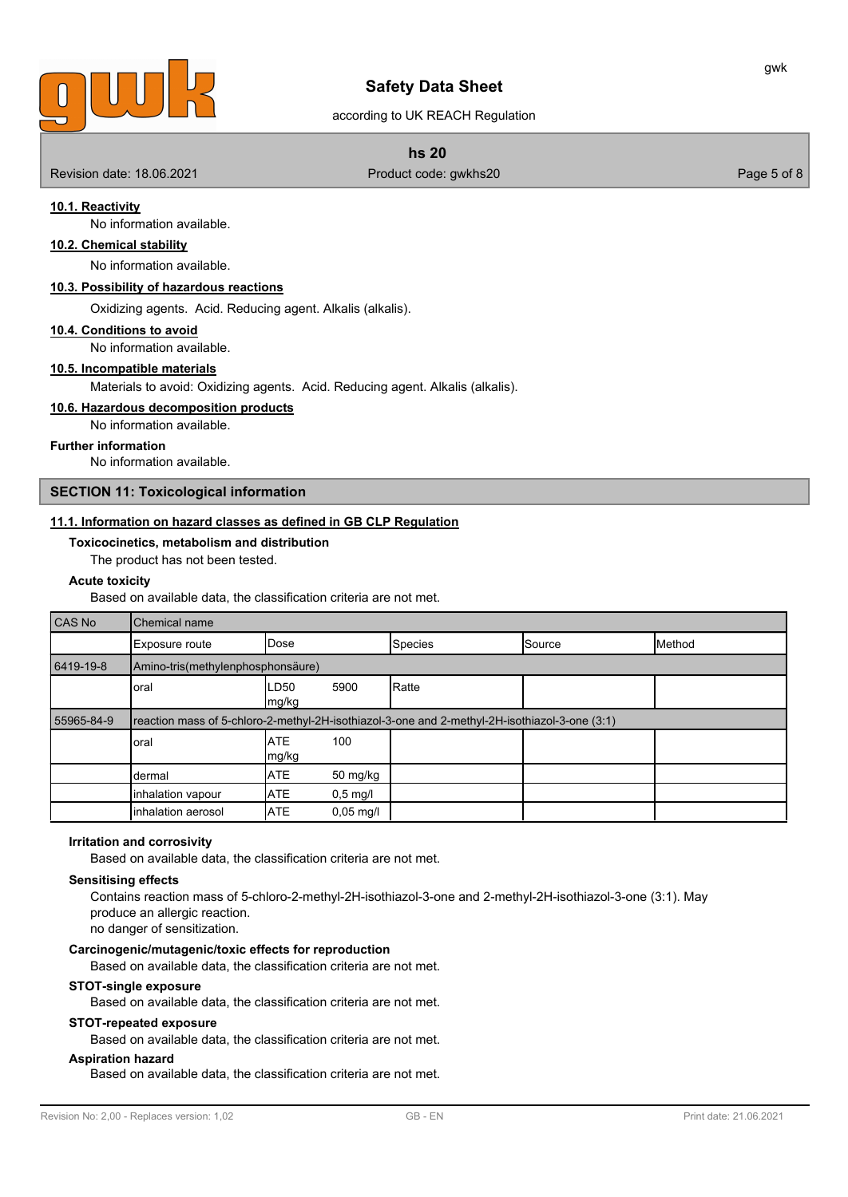

### according to UK REACH Regulation

#### **hs 20**

Revision date: 18.06.2021 **Product code: gwkhs20** Product code: gwkhs20 Page 5 of 8

#### **10.1. Reactivity**

No information available.

# **10.2. Chemical stability**

No information available.

### **10.3. Possibility of hazardous reactions**

Oxidizing agents. Acid. Reducing agent. Alkalis (alkalis).

#### **10.4. Conditions to avoid**

No information available.

### **10.5. Incompatible materials**

Materials to avoid: Oxidizing agents. Acid. Reducing agent. Alkalis (alkalis).

### **10.6. Hazardous decomposition products**

No information available.

#### **Further information**

No information available.

#### **SECTION 11: Toxicological information**

#### **11.1. Information on hazard classes as defined in GB CLP Regulation**

**Toxicocinetics, metabolism and distribution**

The product has not been tested.

#### **Acute toxicity**

Based on available data, the classification criteria are not met.

| CAS No     | Chemical name                                                                                 |                     |                     |                |        |        |
|------------|-----------------------------------------------------------------------------------------------|---------------------|---------------------|----------------|--------|--------|
|            | Exposure route                                                                                | IDose               |                     | <b>Species</b> | Source | Method |
| 6419-19-8  | Amino-tris(methylenphosphonsäure)                                                             |                     |                     |                |        |        |
|            | oral                                                                                          | ILD50<br> mg/kg     | 5900                | Ratte          |        |        |
| 55965-84-9 | reaction mass of 5-chloro-2-methyl-2H-isothiazol-3-one and 2-methyl-2H-isothiazol-3-one (3:1) |                     |                     |                |        |        |
|            | oral                                                                                          | <b>ATE</b><br>mg/kg | 100                 |                |        |        |
|            | dermal                                                                                        | <b>ATE</b>          | 50 mg/kg            |                |        |        |
|            | inhalation vapour                                                                             | <b>ATE</b>          | $0,5$ mg/l          |                |        |        |
|            | inhalation aerosol                                                                            | <b>ATE</b>          | $0,05 \text{ mg/l}$ |                |        |        |

#### **Irritation and corrosivity**

Based on available data, the classification criteria are not met.

#### **Sensitising effects**

Contains reaction mass of 5-chloro-2-methyl-2H-isothiazol-3-one and 2-methyl-2H-isothiazol-3-one (3:1). May produce an allergic reaction. no danger of sensitization.

#### **Carcinogenic/mutagenic/toxic effects for reproduction**

Based on available data, the classification criteria are not met.

#### **STOT-single exposure**

Based on available data, the classification criteria are not met.

#### **STOT-repeated exposure**

Based on available data, the classification criteria are not met.

### **Aspiration hazard**

Based on available data, the classification criteria are not met.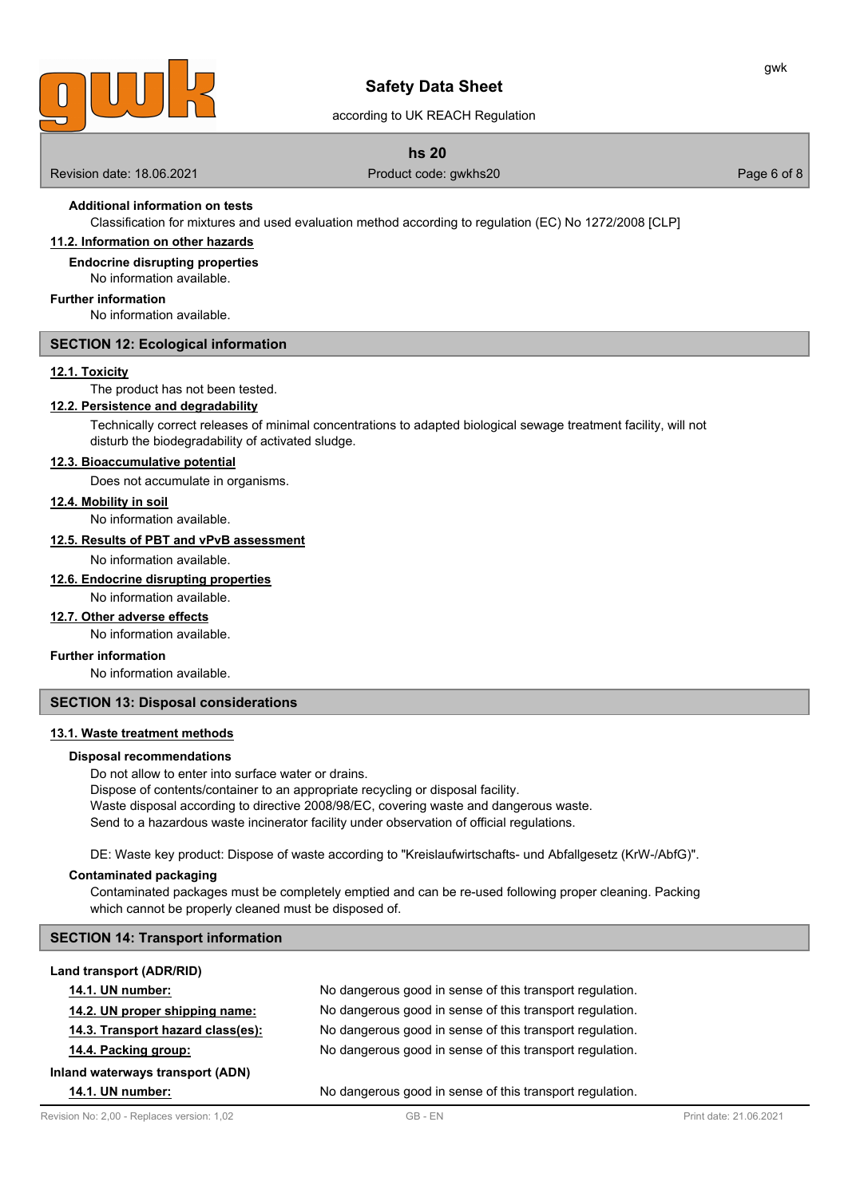

according to UK REACH Regulation

### **hs 20**

Revision date: 18.06.2021 **Product code: gwkhs20** Product code: gwkhs20 **Page 6 of 8** Page 6 of 8

gwk

# **Additional information on tests**

Classification for mixtures and used evaluation method according to regulation (EC) No 1272/2008 [CLP]

## **11.2. Information on other hazards**

**Endocrine disrupting properties** No information available.

### **Further information**

No information available.

### **SECTION 12: Ecological information**

### **12.1. Toxicity**

The product has not been tested.

### **12.2. Persistence and degradability**

Technically correct releases of minimal concentrations to adapted biological sewage treatment facility, will not disturb the biodegradability of activated sludge.

#### **12.3. Bioaccumulative potential**

Does not accumulate in organisms.

#### **12.4. Mobility in soil**

No information available.

#### **12.5. Results of PBT and vPvB assessment**

No information available.

### **12.6. Endocrine disrupting properties**

No information available.

#### **12.7. Other adverse effects**

No information available.

### **Further information**

No information available.

### **SECTION 13: Disposal considerations**

### **13.1. Waste treatment methods**

#### **Disposal recommendations**

Do not allow to enter into surface water or drains.

Dispose of contents/container to an appropriate recycling or disposal facility. Waste disposal according to directive 2008/98/EC, covering waste and dangerous waste. Send to a hazardous waste incinerator facility under observation of official regulations.

DE: Waste key product: Dispose of waste according to "Kreislaufwirtschafts- und Abfallgesetz (KrW-/AbfG)".

#### **Contaminated packaging**

Contaminated packages must be completely emptied and can be re-used following proper cleaning. Packing which cannot be properly cleaned must be disposed of.

### **SECTION 14: Transport information**

| Land transport (ADR/RID)          |                                                          |
|-----------------------------------|----------------------------------------------------------|
| 14.1. UN number:                  | No dangerous good in sense of this transport regulation. |
| 14.2. UN proper shipping name:    | No dangerous good in sense of this transport regulation. |
| 14.3. Transport hazard class(es): | No dangerous good in sense of this transport regulation. |
| 14.4. Packing group:              | No dangerous good in sense of this transport regulation. |
| Inland waterways transport (ADN)  |                                                          |
| <b>14.1. UN number:</b>           | No dangerous good in sense of this transport regulation. |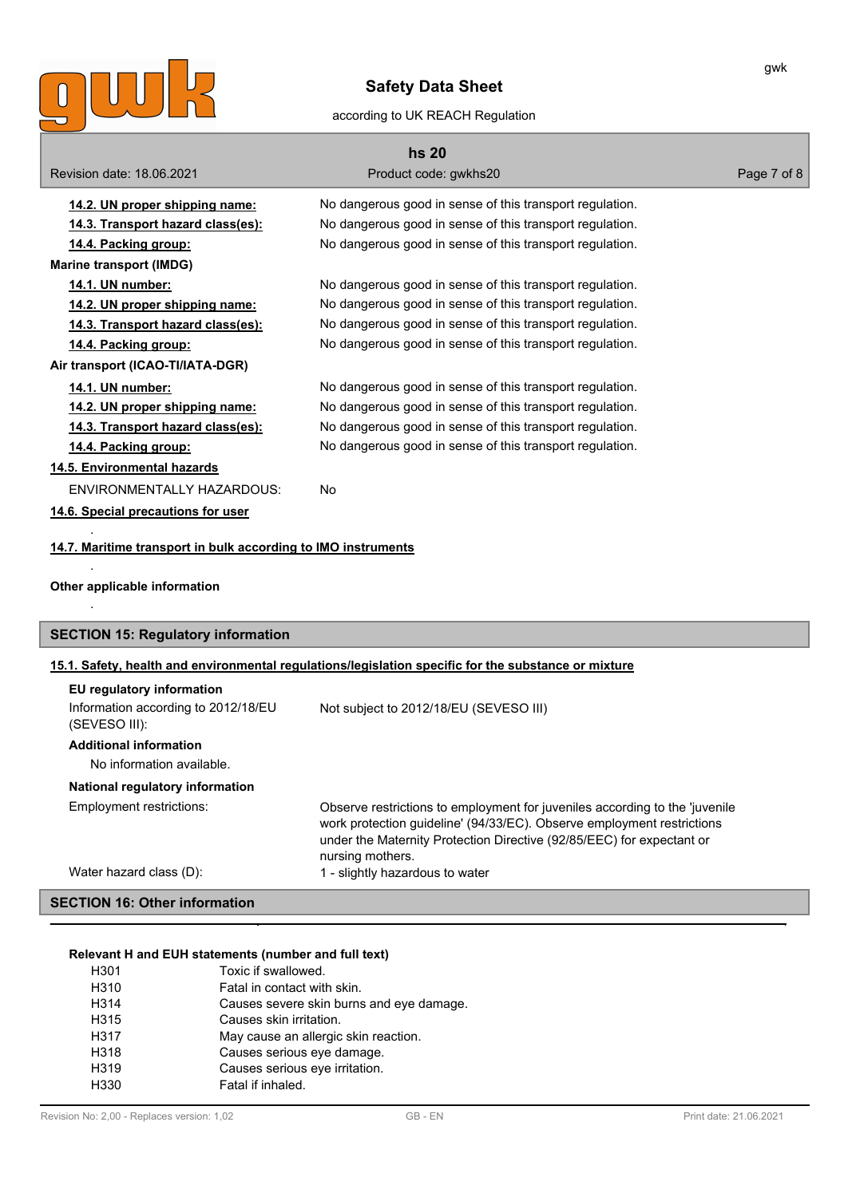

### according to UK REACH Regulation

| <b>hs 20</b>                                                  |                                                                                                                                                                                                                                |             |  |  |
|---------------------------------------------------------------|--------------------------------------------------------------------------------------------------------------------------------------------------------------------------------------------------------------------------------|-------------|--|--|
| Revision date: 18,06,2021                                     | Product code: gwkhs20                                                                                                                                                                                                          | Page 7 of 8 |  |  |
| 14.2. UN proper shipping name:                                | No dangerous good in sense of this transport regulation.                                                                                                                                                                       |             |  |  |
| 14.3. Transport hazard class(es):                             | No dangerous good in sense of this transport regulation.                                                                                                                                                                       |             |  |  |
| 14.4. Packing group:                                          | No dangerous good in sense of this transport regulation.                                                                                                                                                                       |             |  |  |
| <b>Marine transport (IMDG)</b>                                |                                                                                                                                                                                                                                |             |  |  |
| 14.1. UN number:                                              | No dangerous good in sense of this transport regulation.                                                                                                                                                                       |             |  |  |
| 14.2. UN proper shipping name:                                | No dangerous good in sense of this transport regulation.                                                                                                                                                                       |             |  |  |
| 14.3. Transport hazard class(es):                             | No dangerous good in sense of this transport regulation.                                                                                                                                                                       |             |  |  |
| 14.4. Packing group:                                          | No dangerous good in sense of this transport regulation.                                                                                                                                                                       |             |  |  |
| Air transport (ICAO-TI/IATA-DGR)                              |                                                                                                                                                                                                                                |             |  |  |
| 14.1. UN number:                                              | No dangerous good in sense of this transport regulation.                                                                                                                                                                       |             |  |  |
| 14.2. UN proper shipping name:                                | No dangerous good in sense of this transport regulation.                                                                                                                                                                       |             |  |  |
| 14.3. Transport hazard class(es):                             | No dangerous good in sense of this transport regulation.                                                                                                                                                                       |             |  |  |
| 14.4. Packing group:                                          | No dangerous good in sense of this transport regulation.                                                                                                                                                                       |             |  |  |
| 14.5. Environmental hazards                                   |                                                                                                                                                                                                                                |             |  |  |
| ENVIRONMENTALLY HAZARDOUS:                                    | No                                                                                                                                                                                                                             |             |  |  |
| 14.6. Special precautions for user                            |                                                                                                                                                                                                                                |             |  |  |
|                                                               |                                                                                                                                                                                                                                |             |  |  |
| 14.7. Maritime transport in bulk according to IMO instruments |                                                                                                                                                                                                                                |             |  |  |
|                                                               |                                                                                                                                                                                                                                |             |  |  |
| Other applicable information                                  |                                                                                                                                                                                                                                |             |  |  |
|                                                               |                                                                                                                                                                                                                                |             |  |  |
| <b>SECTION 15: Regulatory information</b>                     |                                                                                                                                                                                                                                |             |  |  |
|                                                               | 15.1. Safety, health and environmental regulations/legislation specific for the substance or mixture                                                                                                                           |             |  |  |
| EU regulatory information                                     |                                                                                                                                                                                                                                |             |  |  |
| Information according to 2012/18/EU<br>(SEVESO III):          | Not subject to 2012/18/EU (SEVESO III)                                                                                                                                                                                         |             |  |  |
| <b>Additional information</b>                                 |                                                                                                                                                                                                                                |             |  |  |
| No information available.                                     |                                                                                                                                                                                                                                |             |  |  |
| National regulatory information                               |                                                                                                                                                                                                                                |             |  |  |
| Employment restrictions:                                      | Observe restrictions to employment for juveniles according to the 'juvenile<br>work protection guideline' (94/33/EC). Observe employment restrictions<br>under the Maternity Protection Directive (92/85/EEC) for expectant or |             |  |  |
| Water hazard class (D):                                       | nursing mothers.<br>1 - slightly hazardous to water                                                                                                                                                                            |             |  |  |

# **SECTION 16: Other information**

### **Relevant H and EUH statements (number and full text)**

| H301             | Toxic if swallowed.                      |
|------------------|------------------------------------------|
| H310             | Fatal in contact with skin.              |
| H314             | Causes severe skin burns and eye damage. |
| H315             | Causes skin irritation.                  |
| H317             | May cause an allergic skin reaction.     |
| H318             | Causes serious eye damage.               |
| H <sub>319</sub> | Causes serious eye irritation.           |
| H <sub>330</sub> | Fatal if inhaled.                        |